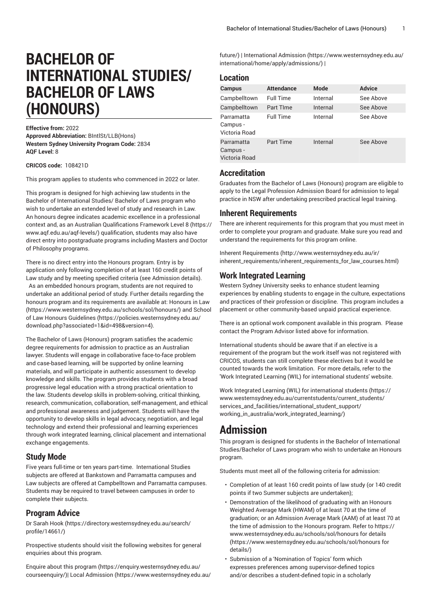# **BACHELOR OF INTERNATIONAL STUDIES/ BACHELOR OF LAWS (HONOURS)**

#### **Effective from:** 2022

**Approved Abbreviation:** BIntlSt/LLB(Hons) **Western Sydney University Program Code:** 2834 **AQF Level:** 8

#### **CRICOS code:**  108421D

This program applies to students who commenced in 2022 or later.

This program is designed for high achieving law students in the Bachelor of International Studies/ Bachelor of Laws program who wish to undertake an extended level of study and research in Law. An honours degree indicates academic excellence in a professional context and, as an Australian [Qualifications](https://www.aqf.edu.au/aqf-levels/) Framework Level 8 ([https://](https://www.aqf.edu.au/aqf-levels/) [www.aqf.edu.au/aqf-levels/](https://www.aqf.edu.au/aqf-levels/)) qualification, students may also have direct entry into postgraduate programs including Masters and Doctor of Philosophy programs.

There is no direct entry into the Honours program. Entry is by application only following completion of at least 160 credit points of Law study and by meeting specified criteria (see Admission details). As an embedded honours program, students are not required to undertake an additional period of study. Further details regarding the honours program and its requirements are available at: [Honours in Law](https://www.westernsydney.edu.au/schools/sol/honours/) ([https://www.westernsydney.edu.au/schools/sol/honours/\)](https://www.westernsydney.edu.au/schools/sol/honours/) and [School](https://policies.westernsydney.edu.au/download.php?associated=1&id=498&version=4) [of Law Honours Guidelines \(https://policies.westernsydney.edu.au/](https://policies.westernsydney.edu.au/download.php?associated=1&id=498&version=4) [download.php?associated=1&id=498&version=4\)](https://policies.westernsydney.edu.au/download.php?associated=1&id=498&version=4).

The Bachelor of Laws (Honours) program satisfies the academic degree requirements for admission to practice as an Australian lawyer. Students will engage in collaborative face-to-face problem and case-based learning, will be supported by online learning materials, and will participate in authentic assessment to develop knowledge and skills. The program provides students with a broad progressive legal education with a strong practical orientation to the law. Students develop skills in problem-solving, critical thinking, research, communication, collaboration, self-management, and ethical and professional awareness and judgement. Students will have the opportunity to develop skills in legal advocacy, negotiation, and legal technology and extend their professional and learning experiences through work integrated learning, clinical placement and international exchange engagements.

### **Study Mode**

Five years full-time or ten years part-time. International Studies subjects are offered at Bankstown and Parramatta campuses and Law subjects are offered at Campbelltown and Parramatta campuses. Students may be required to travel between campuses in order to complete their subjects.

### **Program Advice**

[Dr Sarah Hook](https://directory.westernsydney.edu.au/search/profile/14661/) ([https://directory.westernsydney.edu.au/search/](https://directory.westernsydney.edu.au/search/profile/14661/) [profile/14661/\)](https://directory.westernsydney.edu.au/search/profile/14661/)

Prospective students should visit the following websites for general enquiries about this program.

Enquire about this [program \(https://enquiry.westernsydney.edu.au/](https://enquiry.westernsydney.edu.au/courseenquiry/) [courseenquiry/](https://enquiry.westernsydney.edu.au/courseenquiry/))| [Local Admission \(https://www.westernsydney.edu.au/](https://www.westernsydney.edu.au/future/) [future/](https://www.westernsydney.edu.au/future/)) | [International Admission \(https://www.westernsydney.edu.au/](https://www.westernsydney.edu.au/international/home/apply/admissions/) [international/home/apply/admissions/](https://www.westernsydney.edu.au/international/home/apply/admissions/)) |

# **Location**

| Campus                                  | <b>Attendance</b> | Mode     | <b>Advice</b> |
|-----------------------------------------|-------------------|----------|---------------|
| Campbelltown                            | <b>Full Time</b>  | Internal | See Above     |
| Campbelltown                            | Part TIme         | Internal | See Above     |
| Parramatta<br>Campus -<br>Victoria Road | <b>Full Time</b>  | Internal | See Above     |
| Parramatta<br>Campus -<br>Victoria Road | <b>Part Time</b>  | Internal | See Above     |

# **Accreditation**

Graduates from the Bachelor of Laws (Honours) program are eligible to apply to the Legal Profession Admission Board for admission to legal practice in NSW after undertaking prescribed practical legal training.

#### **Inherent Requirements**

There are inherent requirements for this program that you must meet in order to complete your program and graduate. Make sure you read and understand the requirements for this program online.

Inherent [Requirements](http://www.westernsydney.edu.au/ir/inherent_requirements/inherent_requirements_for_law_courses.html) ([http://www.westernsydney.edu.au/ir/](http://www.westernsydney.edu.au/ir/inherent_requirements/inherent_requirements_for_law_courses.html) [inherent\\_requirements/inherent\\_requirements\\_for\\_law\\_courses.html](http://www.westernsydney.edu.au/ir/inherent_requirements/inherent_requirements_for_law_courses.html))

# **Work Integrated Learning**

Western Sydney University seeks to enhance student learning experiences by enabling students to engage in the culture, expectations and practices of their profession or discipline. This program includes a placement or other community-based unpaid practical experience.

There is an optional work component available in this program. Please contact the Program Advisor listed above for information.

International students should be aware that if an elective is a requirement of the program but the work itself was not registered with CRICOS, students can still complete these electives but it would be counted towards the work limitation. For more details, refer to the 'Work Integrated Learning (WIL) for international students' website.

Work Integrated Learning (WIL) for [international](https://www.westernsydney.edu.au/currentstudents/current_students/services_and_facilities/international_student_support/working_in_australia/work_integrated_learning/) students ([https://](https://www.westernsydney.edu.au/currentstudents/current_students/services_and_facilities/international_student_support/working_in_australia/work_integrated_learning/) [www.westernsydney.edu.au/currentstudents/current\\_students/](https://www.westernsydney.edu.au/currentstudents/current_students/services_and_facilities/international_student_support/working_in_australia/work_integrated_learning/) [services\\_and\\_facilities/international\\_student\\_support/](https://www.westernsydney.edu.au/currentstudents/current_students/services_and_facilities/international_student_support/working_in_australia/work_integrated_learning/) [working\\_in\\_australia/work\\_integrated\\_learning/](https://www.westernsydney.edu.au/currentstudents/current_students/services_and_facilities/international_student_support/working_in_australia/work_integrated_learning/))

# **Admission**

This program is designed for students in the Bachelor of International Studies/Bachelor of Laws program who wish to undertake an Honours program.

Students must meet all of the following criteria for admission:

- Completion of at least 160 credit points of law study (or 140 credit points if two Summer subjects are undertaken);
- Demonstration of the likelihood of graduating with an Honours Weighted Average Mark (HWAM) of at least 70 at the time of graduation; or an Admission Average Mark (AAM) of at least 70 at the time of admission to the Honours program. Refer to [https://](https://www.westernsydney.edu.au/schools/sol/honours for details/) [www.westernsydney.edu.au/schools/sol/honours](https://www.westernsydney.edu.au/schools/sol/honours for details/) for details ([https://www.westernsydney.edu.au/schools/sol/honours](https://www.westernsydney.edu.au/schools/sol/honours for details/) for [details/\)](https://www.westernsydney.edu.au/schools/sol/honours for details/)
- Submission of a 'Nomination of Topics' form which expresses preferences among supervisor-defined topics and/or describes a student-defined topic in a scholarly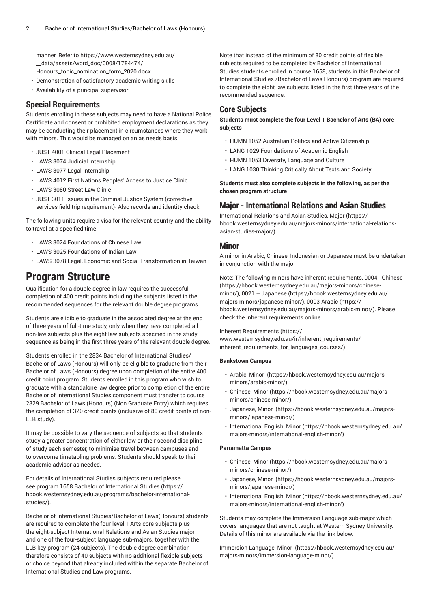manner. Refer to [https://www.westernsydney.edu.au/](https://www.westernsydney.edu.au/__data/assets/word_doc/0008/1784474/Honours_topic_nomination_form_2020.docx) [\\_\\_data/assets/word\\_doc/0008/1784474/](https://www.westernsydney.edu.au/__data/assets/word_doc/0008/1784474/Honours_topic_nomination_form_2020.docx) [Honours\\_topic\\_nomination\\_form\\_2020.docx](https://www.westernsydney.edu.au/__data/assets/word_doc/0008/1784474/Honours_topic_nomination_form_2020.docx)

- Demonstration of satisfactory academic writing skills
- Availability of a principal supervisor

# **Special Requirements**

Students enrolling in these subjects may need to have a National Police Certificate and consent or prohibited employment declarations as they may be conducting their placement in circumstances where they work with minors. This would be managed on an as needs basis:

- [JUST 4001](/search/?P=JUST%204001) Clinical Legal Placement
- [LAWS](/search/?P=LAWS%203074) 3074 Judicial Internship
- [LAWS](/search/?P=LAWS%203077) 3077 Legal Internship
- [LAWS](/search/?P=LAWS%204012) 4012 First Nations Peoples' Access to Justice Clinic
- [LAWS](/search/?P=LAWS%203080) 3080 Street Law Clinic
- [JUST 3011](/search/?P=JUST%203011) Issues in the Criminal Justice System (corrective services field trip requirement)- Also records and identity check.

The following units require a visa for the relevant country and the ability to travel at a specified time:

- [LAWS](/search/?P=LAWS%203024) 3024 Foundations of Chinese Law
- [LAWS](/search/?P=LAWS%203025) 3025 Foundations of Indian Law
- [LAWS](/search/?P=LAWS%203078) 3078 Legal, Economic and Social Transformation in Taiwan

# **Program Structure**

Qualification for a double degree in law requires the successful completion of 400 credit points including the subjects listed in the recommended sequences for the relevant double degree programs.

Students are eligible to graduate in the associated degree at the end of three years of full-time study, only when they have completed all non-law subjects plus the eight law subjects specified in the study sequence as being in the first three years of the relevant double degree.

Students enrolled in the 2834 Bachelor of International Studies/ Bachelor of Laws (Honours) will only be eligible to graduate from their Bachelor of Laws (Honours) degree upon completion of the entire 400 credit point program. Students enrolled in this program who wish to graduate with a standalone law degree prior to completion of the entire Bachelor of International Studies component must transfer to course 2829 Bachelor of Laws (Honours) (Non Graduate Entry) which requires the completion of 320 credit points (inclusive of 80 credit points of non-LLB study).

It may be possible to vary the sequence of subjects so that students study a greater concentration of either law or their second discipline of study each semester, to minimise travel between campuses and to overcome timetabling problems. Students should speak to their academic advisor as needed.

For details of International Studies subjects required please see program [1658 Bachelor of International Studies](https://hbook.westernsydney.edu.au/programs/bachelor-international-studies/) ([https://](https://hbook.westernsydney.edu.au/programs/bachelor-international-studies/) [hbook.westernsydney.edu.au/programs/bachelor-international](https://hbook.westernsydney.edu.au/programs/bachelor-international-studies/)[studies/\)](https://hbook.westernsydney.edu.au/programs/bachelor-international-studies/).

Bachelor of International Studies/Bachelor of Laws(Honours) students are required to complete the four level 1 Arts core subjects plus the eight-subject International Relations and Asian Studies major and one of the four-subject language sub-majors. together with the LLB key program (24 subjects). The double degree combination therefore consists of 40 subjects with no additional flexible subjects or choice beyond that already included within the separate Bachelor of International Studies and Law programs.

Note that instead of the minimum of 80 credit points of flexible subjects required to be completed by Bachelor of International Studies students enrolled in course 1658, students in this Bachelor of International Studies /Bachelor of Laws Honours) program are required to complete the eight law subjects listed in the first three years of the recommended sequence.

# **Core Subjects**

**Students must complete the four Level 1 Bachelor of Arts (BA) core subjects**

- HUMN 1052 Australian Politics and Active Citizenship
- LANG 1029 Foundations of Academic English
- HUMN 1053 Diversity, Language and Culture
- LANG 1030 Thinking Critically About Texts and Society

**Students must also complete subjects in the following, as per the chosen program structure**

# **Major - International Relations and Asian Studies**

[International Relations and Asian Studies, Major](https://hbook.westernsydney.edu.au/majors-minors/international-relations-asian-studies-major/) ([https://](https://hbook.westernsydney.edu.au/majors-minors/international-relations-asian-studies-major/) [hbook.westernsydney.edu.au/majors-minors/international-relations](https://hbook.westernsydney.edu.au/majors-minors/international-relations-asian-studies-major/)[asian-studies-major/\)](https://hbook.westernsydney.edu.au/majors-minors/international-relations-asian-studies-major/)

#### **Minor**

A minor in Arabic, Chinese, Indonesian or Japanese must be undertaken in conjunction with the major

Note: The following minors have inherent requirements, [0004 - Chinese](https://hbook.westernsydney.edu.au/majors-minors/chinese-minor/) ([https://hbook.westernsydney.edu.au/majors-minors/chinese](https://hbook.westernsydney.edu.au/majors-minors/chinese-minor/)[minor/](https://hbook.westernsydney.edu.au/majors-minors/chinese-minor/)), [0021 – Japanese](https://hbook.westernsydney.edu.au/majors-minors/japanese-minor/) ([https://hbook.westernsydney.edu.au/](https://hbook.westernsydney.edu.au/majors-minors/japanese-minor/) [majors-minors/japanese-minor/](https://hbook.westernsydney.edu.au/majors-minors/japanese-minor/)), [0003-Arabic](https://hbook.westernsydney.edu.au/majors-minors/arabic-minor/) ([https://](https://hbook.westernsydney.edu.au/majors-minors/arabic-minor/) [hbook.westernsydney.edu.au/majors-minors/arabic-minor/\)](https://hbook.westernsydney.edu.au/majors-minors/arabic-minor/). Please check the inherent requirements online.

Inherent [Requirements](https://www.westernsydney.edu.au/ir/inherent_requirements/inherent_requirements_for_languages_courses/) ([https://](https://www.westernsydney.edu.au/ir/inherent_requirements/inherent_requirements_for_languages_courses/)

[www.westernsydney.edu.au/ir/inherent\\_requirements/](https://www.westernsydney.edu.au/ir/inherent_requirements/inherent_requirements_for_languages_courses/) [inherent\\_requirements\\_for\\_languages\\_courses/](https://www.westernsydney.edu.au/ir/inherent_requirements/inherent_requirements_for_languages_courses/))

#### **Bankstown Campus**

- [Arabic, Minor \(https://hbook.westernsydney.edu.au/majors](https://hbook.westernsydney.edu.au/majors-minors/arabic-minor/)[minors/arabic-minor/](https://hbook.westernsydney.edu.au/majors-minors/arabic-minor/))
- [Chinese, Minor](https://hbook.westernsydney.edu.au/majors-minors/chinese-minor/) [\(https://hbook.westernsydney.edu.au/majors](https://hbook.westernsydney.edu.au/majors-minors/chinese-minor/)[minors/chinese-minor/\)](https://hbook.westernsydney.edu.au/majors-minors/chinese-minor/)
- [Japanese, Minor \(https://hbook.westernsydney.edu.au/majors](https://hbook.westernsydney.edu.au/majors-minors/japanese-minor/)[minors/japanese-minor/](https://hbook.westernsydney.edu.au/majors-minors/japanese-minor/))
- [International English, Minor \(https://hbook.westernsydney.edu.au/](https://hbook.westernsydney.edu.au/majors-minors/international-english-minor/) [majors-minors/international-english-minor/\)](https://hbook.westernsydney.edu.au/majors-minors/international-english-minor/)

#### **Parramatta Campus**

- [Chinese, Minor](https://hbook.westernsydney.edu.au/majors-minors/chinese-minor/) [\(https://hbook.westernsydney.edu.au/majors](https://hbook.westernsydney.edu.au/majors-minors/chinese-minor/)[minors/chinese-minor/\)](https://hbook.westernsydney.edu.au/majors-minors/chinese-minor/)
- [Japanese, Minor \(https://hbook.westernsydney.edu.au/majors](https://hbook.westernsydney.edu.au/majors-minors/japanese-minor/)[minors/japanese-minor/](https://hbook.westernsydney.edu.au/majors-minors/japanese-minor/))
- [International English, Minor \(https://hbook.westernsydney.edu.au/](https://hbook.westernsydney.edu.au/majors-minors/international-english-minor/) [majors-minors/international-english-minor/\)](https://hbook.westernsydney.edu.au/majors-minors/international-english-minor/)

Students may complete the Immersion Language sub-major which covers languages that are not taught at Western Sydney University. Details of this minor are available via the link below:

[Immersion Language, Minor \(https://hbook.westernsydney.edu.au/](https://hbook.westernsydney.edu.au/majors-minors/immersion-language-minor/) [majors-minors/immersion-language-minor/\)](https://hbook.westernsydney.edu.au/majors-minors/immersion-language-minor/)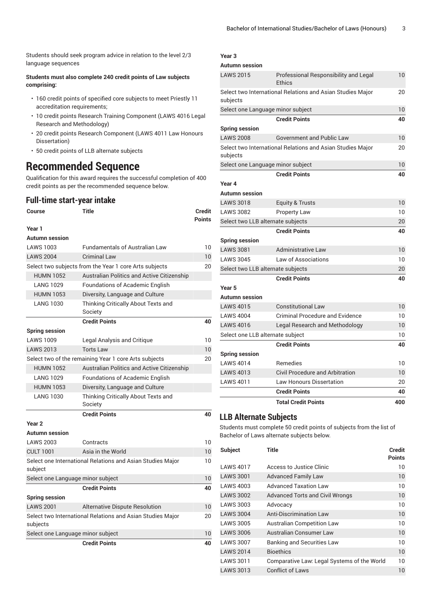Students should seek program advice in relation to the level 2/3 language sequences

#### **Students must also complete 240 credit points of Law subjects comprising:**

- 160 credit points of specified core subjects to meet Priestly 11 accreditation requirements;
- 10 credit points Research Training Component (LAWS 4016 Legal Research and Methodology)
- 20 credit points Research Component (LAWS 4011 Law Honours Dissertation)
- 50 credit points of LLB alternate subjects

# **Recommended Sequence**

Qualification for this award requires the successful completion of 400 credit points as per the recommended sequence below.

# **Full-time start-year intake**

| Course                                                | <b>Title</b>                                               | Credit<br><b>Points</b> |
|-------------------------------------------------------|------------------------------------------------------------|-------------------------|
| Year 1                                                |                                                            |                         |
| Autumn session                                        |                                                            |                         |
| <b>LAWS 1003</b>                                      | <b>Fundamentals of Australian Law</b>                      | 10                      |
| <b>LAWS 2004</b>                                      | <b>Criminal Law</b>                                        | 10                      |
|                                                       | Select two subjects from the Year 1 core Arts subjects     | 20                      |
| <b>HUMN 1052</b>                                      | Australian Politics and Active Citizenship                 |                         |
| <b>LANG 1029</b>                                      | Foundations of Academic English                            |                         |
| <b>HUMN 1053</b>                                      | Diversity, Language and Culture                            |                         |
| <b>LANG 1030</b>                                      | Thinking Critically About Texts and<br>Society             |                         |
|                                                       | <b>Credit Points</b>                                       | 40                      |
| <b>Spring session</b>                                 |                                                            |                         |
| <b>LAWS 1009</b>                                      | Legal Analysis and Critique                                | 10                      |
| <b>LAWS 2013</b>                                      | <b>Torts Law</b>                                           | 10                      |
| Select two of the remaining Year 1 core Arts subjects |                                                            | 20                      |
| <b>HUMN 1052</b>                                      | Australian Politics and Active Citizenship                 |                         |
| <b>LANG 1029</b>                                      | <b>Foundations of Academic English</b>                     |                         |
| <b>HUMN 1053</b>                                      | Diversity, Language and Culture                            |                         |
| <b>LANG 1030</b>                                      | Thinking Critically About Texts and<br>Society             |                         |
|                                                       | <b>Credit Points</b>                                       | 40                      |
| Year <sub>2</sub>                                     |                                                            |                         |
| Autumn session                                        |                                                            |                         |
| <b>LAWS 2003</b>                                      | Contracts                                                  | 10                      |
| <b>CULT 1001</b>                                      | Asia in the World                                          | 10 <sup>°</sup>         |
| subject                                               | Select one International Relations and Asian Studies Major | 10                      |
| Select one Language minor subject                     |                                                            | 10                      |
|                                                       | <b>Credit Points</b>                                       | 40                      |
| <b>Spring session</b>                                 |                                                            |                         |
| <b>LAWS 2001</b>                                      | Alternative Dispute Resolution                             | 10                      |
| subjects                                              | Select two International Relations and Asian Studies Major | 20                      |
| Select one Language minor subject                     |                                                            | 10                      |

**Credit Points 40**

#### **Year 3**

|                                               | <b>Total Credit Points</b>                                 | 400 |
|-----------------------------------------------|------------------------------------------------------------|-----|
|                                               | <b>Credit Points</b>                                       | 40  |
| <b>LAWS 4011</b>                              | <b>Law Honours Dissertation</b>                            | 20  |
| <b>LAWS 4013</b>                              | <b>Civil Procedure and Arbitration</b>                     | 10  |
| <b>LAWS 4014</b>                              | Remedies                                                   | 10  |
| <b>Spring session</b>                         |                                                            |     |
|                                               | <b>Credit Points</b>                                       | 40  |
| Select one LLB alternate subject              |                                                            | 10  |
| <b>LAWS 4016</b>                              | Legal Research and Methodology                             | 10  |
| <b>LAWS 4004</b>                              | <b>Criminal Procedure and Evidence</b>                     | 10  |
| <b>LAWS 4015</b>                              | <b>Constitutional Law</b>                                  | 10  |
| Autumn session                                |                                                            |     |
| Year 5                                        |                                                            |     |
|                                               | <b>Credit Points</b>                                       | 40  |
| Select two LLB alternate subjects             |                                                            | 20  |
| <b>LAWS 3045</b>                              | Law of Associations                                        | 10  |
| <b>LAWS 3081</b>                              | <b>Administrative Law</b>                                  | 10  |
| <b>Spring session</b>                         |                                                            |     |
|                                               | <b>Credit Points</b>                                       | 40  |
| Select two LLB alternate subjects             |                                                            | 20  |
| <b>LAWS 3082</b>                              | Property Law                                               | 10  |
| <b>LAWS 3018</b>                              | <b>Equity &amp; Trusts</b>                                 | 10  |
| <b>Autumn session</b>                         |                                                            |     |
| Year 4                                        |                                                            |     |
|                                               | <b>Credit Points</b>                                       | 40  |
| Select one Language minor subject             |                                                            | 10  |
| subjects                                      |                                                            |     |
|                                               | Select two International Relations and Asian Studies Major | 20  |
| <b>LAWS 2008</b>                              | <b>Government and Public Law</b>                           | 10  |
| <b>Spring session</b>                         |                                                            |     |
|                                               | <b>Credit Points</b>                                       | 40  |
| subjects<br>Select one Language minor subject |                                                            | 10  |
|                                               | Select two International Relations and Asian Studies Major | 20  |
|                                               | Ethics                                                     |     |
| <b>LAWS 2015</b>                              | Professional Responsibility and Legal                      | 10  |
| Autumn session                                |                                                            |     |

# **LLB Alternate Subjects**

Students must complete 50 credit points of subjects from the list of Bachelor of Laws alternate subjects below.

| Title                                       | Credit |
|---------------------------------------------|--------|
|                                             | Points |
| Access to Justice Clinic                    | 10     |
| <b>Advanced Family Law</b>                  | 10     |
| <b>Advanced Taxation Law</b>                | 10     |
| <b>Advanced Torts and Civil Wrongs</b>      | 10     |
| Advocacy                                    | 10     |
| <b>Anti-Discrimination Law</b>              | 10     |
| <b>Australian Competition Law</b>           | 10     |
| <b>Australian Consumer Law</b>              | 10     |
| <b>Banking and Securities Law</b>           | 10     |
| <b>Bioethics</b>                            | 10     |
| Comparative Law: Legal Systems of the World | 10     |
| <b>Conflict of Laws</b>                     | 10     |
|                                             |        |